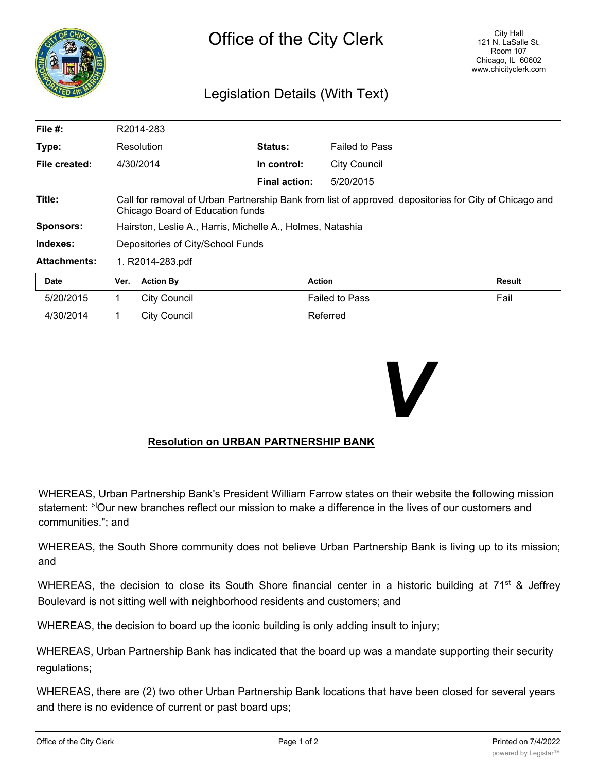

## Legislation Details (With Text)

| File $#$ :          |                                                                                                                                           | R2014-283           |                      |                       |               |
|---------------------|-------------------------------------------------------------------------------------------------------------------------------------------|---------------------|----------------------|-----------------------|---------------|
| Type:               |                                                                                                                                           | Resolution          | <b>Status:</b>       | <b>Failed to Pass</b> |               |
| File created:       |                                                                                                                                           | 4/30/2014           | In control:          | <b>City Council</b>   |               |
|                     |                                                                                                                                           |                     | <b>Final action:</b> | 5/20/2015             |               |
| Title:              | Call for removal of Urban Partnership Bank from list of approved depositories for City of Chicago and<br>Chicago Board of Education funds |                     |                      |                       |               |
| <b>Sponsors:</b>    | Hairston, Leslie A., Harris, Michelle A., Holmes, Natashia                                                                                |                     |                      |                       |               |
| Indexes:            | Depositories of City/School Funds                                                                                                         |                     |                      |                       |               |
| <b>Attachments:</b> | 1. R2014-283.pdf                                                                                                                          |                     |                      |                       |               |
| <b>Date</b>         | Ver.                                                                                                                                      | <b>Action By</b>    |                      | <b>Action</b>         | <b>Result</b> |
| 5/20/2015           | 1.                                                                                                                                        | <b>City Council</b> |                      | <b>Failed to Pass</b> | Fail          |
| 4/30/2014           |                                                                                                                                           | City Council        |                      | Referred              |               |



## **Resolution on URBAN PARTNERSHIP BANK**

WHEREAS, Urban Partnership Bank's President William Farrow states on their website the following mission statement: <sup>>l</sup>Our new branches reflect our mission to make a difference in the lives of our customers and communities."; and

WHEREAS, the South Shore community does not believe Urban Partnership Bank is living up to its mission; and

WHEREAS, the decision to close its South Shore financial center in a historic building at  $71<sup>st</sup>$  & Jeffrey Boulevard is not sitting well with neighborhood residents and customers; and

WHEREAS, the decision to board up the iconic building is only adding insult to injury;

WHEREAS, Urban Partnership Bank has indicated that the board up was a mandate supporting their security regulations;

WHEREAS, there are (2) two other Urban Partnership Bank locations that have been closed for several years and there is no evidence of current or past board ups;